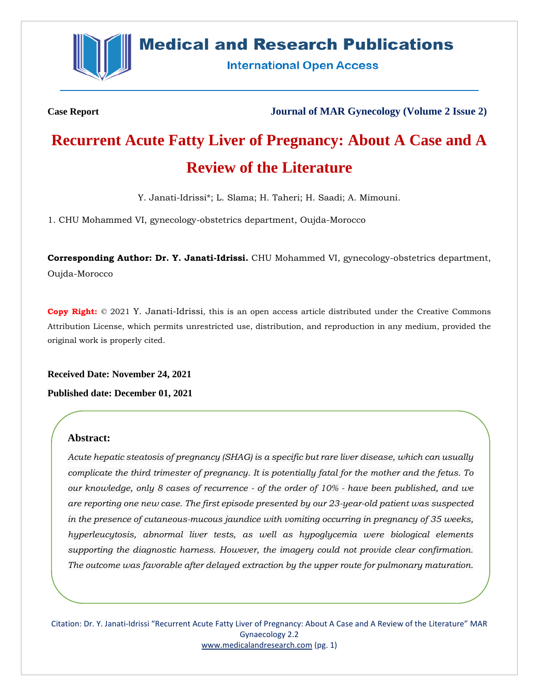

# **Medical and Research Publications**

**International Open Access** 

**Case Report Journal of MAR Gynecology (Volume 2 Issue 2)**

# **Recurrent Acute Fatty Liver of Pregnancy: About A Case and A Review of the Literature**

Y. Janati-Idrissi\*; L. Slama; H. Taheri; H. Saadi; A. Mimouni.

1. CHU Mohammed VI, gynecology-obstetrics department, Oujda-Morocco

**Corresponding Author: Dr. Y. Janati-Idrissi.** CHU Mohammed VI, gynecology-obstetrics department, Oujda-Morocco

**Copy Right:** © 2021 Y. Janati-Idrissi, this is an open access article distributed under the Creative Commons Attribution License, which permits unrestricted use, distribution, and reproduction in any medium, provided the original work is properly cited.

**Received Date: November 24, 2021**

**Published date: December 01, 2021**

# **Abstract:**

*Acute hepatic steatosis of pregnancy (SHAG) is a specific but rare liver disease, which can usually complicate the third trimester of pregnancy. It is potentially fatal for the mother and the fetus. To our knowledge, only 8 cases of recurrence - of the order of 10% - have been published, and we are reporting one new case. The first episode presented by our 23-year-old patient was suspected in the presence of cutaneous-mucous jaundice with vomiting occurring in pregnancy of 35 weeks, hyperleucytosis, abnormal liver tests, as well as hypoglycemia were biological elements supporting the diagnostic harness. However, the imagery could not provide clear confirmation. The outcome was favorable after delayed extraction by the upper route for pulmonary maturation.* 

Citation: Dr. Y. Janati-Idrissi "Recurrent Acute Fatty Liver of Pregnancy: About A Case and A Review of the Literature" MAR Gynaecology 2.2 [www.medicalandresearch.com](http://www.medicalandresearch.com/) (pg. 1)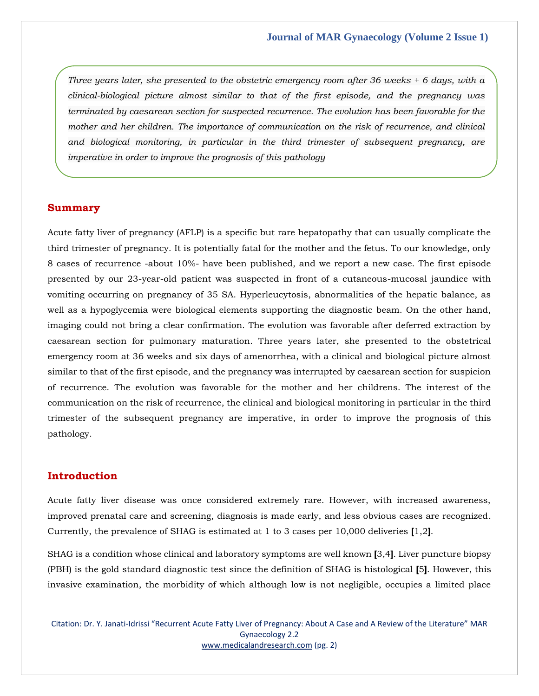*Three years later, she presented to the obstetric emergency room after 36 weeks + 6 days, with a clinical-biological picture almost similar to that of the first episode, and the pregnancy was terminated by caesarean section for suspected recurrence. The evolution has been favorable for the mother and her children. The importance of communication on the risk of recurrence, and clinical and biological monitoring, in particular in the third trimester of subsequent pregnancy, are imperative in order to improve the prognosis of this pathology*

#### **Summary**

Acute fatty liver of pregnancy (AFLP) is a specific but rare hepatopathy that can usually complicate the third trimester of pregnancy. It is potentially fatal for the mother and the fetus. To our knowledge, only 8 cases of recurrence -about 10%- have been published, and we report a new case. The first episode presented by our 23-year-old patient was suspected in front of a cutaneous-mucosal jaundice with vomiting occurring on pregnancy of 35 SA. Hyperleucytosis, abnormalities of the hepatic balance, as well as a hypoglycemia were biological elements supporting the diagnostic beam. On the other hand, imaging could not bring a clear confirmation. The evolution was favorable after deferred extraction by caesarean section for pulmonary maturation. Three years later, she presented to the obstetrical emergency room at 36 weeks and six days of amenorrhea, with a clinical and biological picture almost similar to that of the first episode, and the pregnancy was interrupted by caesarean section for suspicion of recurrence. The evolution was favorable for the mother and her childrens. The interest of the communication on the risk of recurrence, the clinical and biological monitoring in particular in the third trimester of the subsequent pregnancy are imperative, in order to improve the prognosis of this pathology.

### **Introduction**

Acute fatty liver disease was once considered extremely rare. However, with increased awareness, improved prenatal care and screening, diagnosis is made early, and less obvious cases are recognized. Currently, the prevalence of SHAG is estimated at 1 to 3 cases per 10,000 deliveries **[**1,2**]**.

SHAG is a condition whose clinical and laboratory symptoms are well known **[**3,4**]**. Liver puncture biopsy (PBH) is the gold standard diagnostic test since the definition of SHAG is histological **[**5**]**. However, this invasive examination, the morbidity of which although low is not negligible, occupies a limited place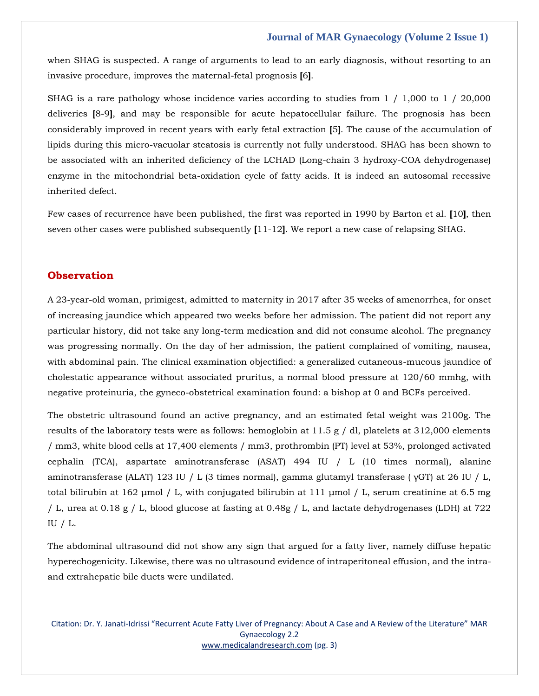when SHAG is suspected. A range of arguments to lead to an early diagnosis, without resorting to an invasive procedure, improves the maternal-fetal prognosis **[**6**]**.

SHAG is a rare pathology whose incidence varies according to studies from 1 / 1,000 to 1 / 20,000 deliveries **[**8-9**]**, and may be responsible for acute hepatocellular failure. The prognosis has been considerably improved in recent years with early fetal extraction **[**5**]**. The cause of the accumulation of lipids during this micro-vacuolar steatosis is currently not fully understood. SHAG has been shown to be associated with an inherited deficiency of the LCHAD (Long-chain 3 hydroxy-COA dehydrogenase) enzyme in the mitochondrial beta-oxidation cycle of fatty acids. It is indeed an autosomal recessive inherited defect.

Few cases of recurrence have been published, the first was reported in 1990 by Barton et al. **[**10**]**, then seven other cases were published subsequently **[**11-12**]**. We report a new case of relapsing SHAG.

# **Observation**

A 23-year-old woman, primigest, admitted to maternity in 2017 after 35 weeks of amenorrhea, for onset of increasing jaundice which appeared two weeks before her admission. The patient did not report any particular history, did not take any long-term medication and did not consume alcohol. The pregnancy was progressing normally. On the day of her admission, the patient complained of vomiting, nausea, with abdominal pain. The clinical examination objectified: a generalized cutaneous-mucous jaundice of cholestatic appearance without associated pruritus, a normal blood pressure at 120/60 mmhg, with negative proteinuria, the gyneco-obstetrical examination found: a bishop at 0 and BCFs perceived.

The obstetric ultrasound found an active pregnancy, and an estimated fetal weight was 2100g. The results of the laboratory tests were as follows: hemoglobin at 11.5 g / dl, platelets at 312,000 elements / mm3, white blood cells at 17,400 elements / mm3, prothrombin (PT) level at 53%, prolonged activated cephalin (TCA), aspartate aminotransferase (ASAT) 494 IU / L (10 times normal), alanine aminotransferase (ALAT) 123 IU / L (3 times normal), gamma glutamyl transferase ( γGT) at 26 IU / L, total bilirubin at 162 μmol / L, with conjugated bilirubin at 111 μmol / L, serum creatinine at 6.5 mg / L, urea at 0.18 g / L, blood glucose at fasting at 0.48g / L, and lactate dehydrogenases (LDH) at 722 IU / L.

The abdominal ultrasound did not show any sign that argued for a fatty liver, namely diffuse hepatic hyperechogenicity. Likewise, there was no ultrasound evidence of intraperitoneal effusion, and the intraand extrahepatic bile ducts were undilated.

Citation: Dr. Y. Janati-Idrissi "Recurrent Acute Fatty Liver of Pregnancy: About A Case and A Review of the Literature" MAR Gynaecology 2.2 [www.medicalandresearch.com](http://www.medicalandresearch.com/) (pg. 3)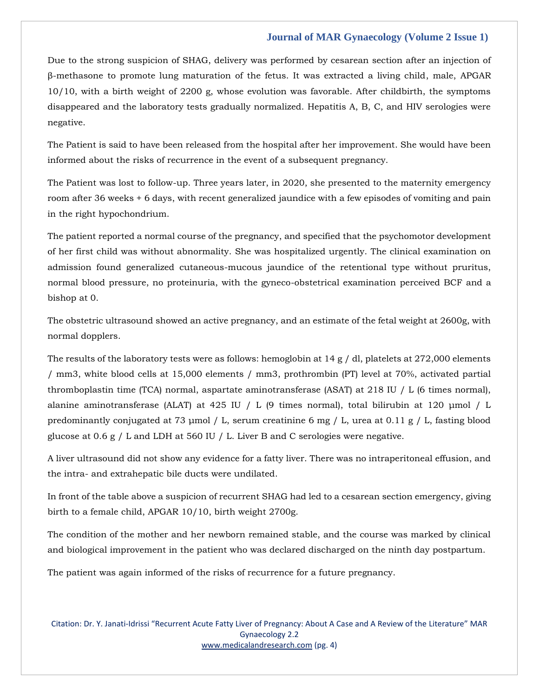Due to the strong suspicion of SHAG, delivery was performed by cesarean section after an injection of β-methasone to promote lung maturation of the fetus. It was extracted a living child, male, APGAR 10/10, with a birth weight of 2200 g, whose evolution was favorable. After childbirth, the symptoms disappeared and the laboratory tests gradually normalized. Hepatitis A, B, C, and HIV serologies were negative.

The Patient is said to have been released from the hospital after her improvement. She would have been informed about the risks of recurrence in the event of a subsequent pregnancy.

The Patient was lost to follow-up. Three years later, in 2020, she presented to the maternity emergency room after 36 weeks + 6 days, with recent generalized jaundice with a few episodes of vomiting and pain in the right hypochondrium.

The patient reported a normal course of the pregnancy, and specified that the psychomotor development of her first child was without abnormality. She was hospitalized urgently. The clinical examination on admission found generalized cutaneous-mucous jaundice of the retentional type without pruritus, normal blood pressure, no proteinuria, with the gyneco-obstetrical examination perceived BCF and a bishop at 0.

The obstetric ultrasound showed an active pregnancy, and an estimate of the fetal weight at 2600g, with normal dopplers.

The results of the laboratory tests were as follows: hemoglobin at 14 g / dl, platelets at 272,000 elements / mm3, white blood cells at 15,000 elements / mm3, prothrombin (PT) level at 70%, activated partial thromboplastin time (TCA) normal, aspartate aminotransferase (ASAT) at 218 IU / L (6 times normal), alanine aminotransferase (ALAT) at 425 IU / L (9 times normal), total bilirubin at 120 μmol / L predominantly conjugated at 73 µmol / L, serum creatinine 6 mg / L, urea at 0.11 g / L, fasting blood glucose at 0.6 g / L and LDH at 560 IU / L. Liver B and C serologies were negative.

A liver ultrasound did not show any evidence for a fatty liver. There was no intraperitoneal effusion, and the intra- and extrahepatic bile ducts were undilated.

In front of the table above a suspicion of recurrent SHAG had led to a cesarean section emergency, giving birth to a female child, APGAR 10/10, birth weight 2700g.

The condition of the mother and her newborn remained stable, and the course was marked by clinical and biological improvement in the patient who was declared discharged on the ninth day postpartum.

The patient was again informed of the risks of recurrence for a future pregnancy.

Citation: Dr. Y. Janati-Idrissi "Recurrent Acute Fatty Liver of Pregnancy: About A Case and A Review of the Literature" MAR Gynaecology 2.2 [www.medicalandresearch.com](http://www.medicalandresearch.com/) (pg. 4)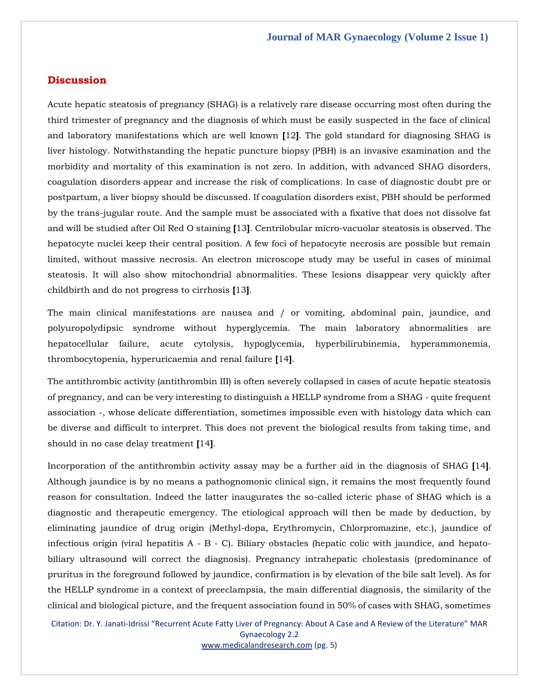### **Discussion**

Acute hepatic steatosis of pregnancy (SHAG) is a relatively rare disease occurring most often during the third trimester of pregnancy and the diagnosis of which must be easily suspected in the face of clinical and laboratory manifestations which are well known **[**12**]**. The gold standard for diagnosing SHAG is liver histology. Notwithstanding the hepatic puncture biopsy (PBH) is an invasive examination and the morbidity and mortality of this examination is not zero. In addition, with advanced SHAG disorders, coagulation disorders appear and increase the risk of complications. In case of diagnostic doubt pre or postpartum, a liver biopsy should be discussed. If coagulation disorders exist, PBH should be performed by the trans-jugular route. And the sample must be associated with a fixative that does not dissolve fat and will be studied after Oil Red O staining **[**13**]**. Centrilobular micro-vacuolar steatosis is observed. The hepatocyte nuclei keep their central position. A few foci of hepatocyte necrosis are possible but remain limited, without massive necrosis. An electron microscope study may be useful in cases of minimal steatosis. It will also show mitochondrial abnormalities. These lesions disappear very quickly after childbirth and do not progress to cirrhosis **[**13**]**.

The main clinical manifestations are nausea and / or vomiting, abdominal pain, jaundice, and polyuropolydipsic syndrome without hyperglycemia. The main laboratory abnormalities are hepatocellular failure, acute cytolysis, hypoglycemia, hyperbilirubinemia, hyperammonemia, thrombocytopenia, hyperuricaemia and renal failure **[**14**]**.

The antithrombic activity (antithrombin III) is often severely collapsed in cases of acute hepatic steatosis of pregnancy, and can be very interesting to distinguish a HELLP syndrome from a SHAG - quite frequent association -, whose delicate differentiation, sometimes impossible even with histology data which can be diverse and difficult to interpret. This does not prevent the biological results from taking time, and should in no case delay treatment **[**14**]**.

Incorporation of the antithrombin activity assay may be a further aid in the diagnosis of SHAG **[**14**]**. Although jaundice is by no means a pathognomonic clinical sign, it remains the most frequently found reason for consultation. Indeed the latter inaugurates the so-called icteric phase of SHAG which is a diagnostic and therapeutic emergency. The etiological approach will then be made by deduction, by eliminating jaundice of drug origin (Methyl-dopa, Erythromycin, Chlorpromazine, etc.), jaundice of infectious origin (viral hepatitis A - B - C). Biliary obstacles (hepatic colic with jaundice, and hepatobiliary ultrasound will correct the diagnosis). Pregnancy intrahepatic cholestasis (predominance of pruritus in the foreground followed by jaundice, confirmation is by elevation of the bile salt level). As for the HELLP syndrome in a context of preeclampsia, the main differential diagnosis, the similarity of the clinical and biological picture, and the frequent association found in 50% of cases with SHAG, sometimes

Citation: Dr. Y. Janati-Idrissi "Recurrent Acute Fatty Liver of Pregnancy: About A Case and A Review of the Literature" MAR Gynaecology 2.2

[www.medicalandresearch.com](http://www.medicalandresearch.com/) (pg. 5)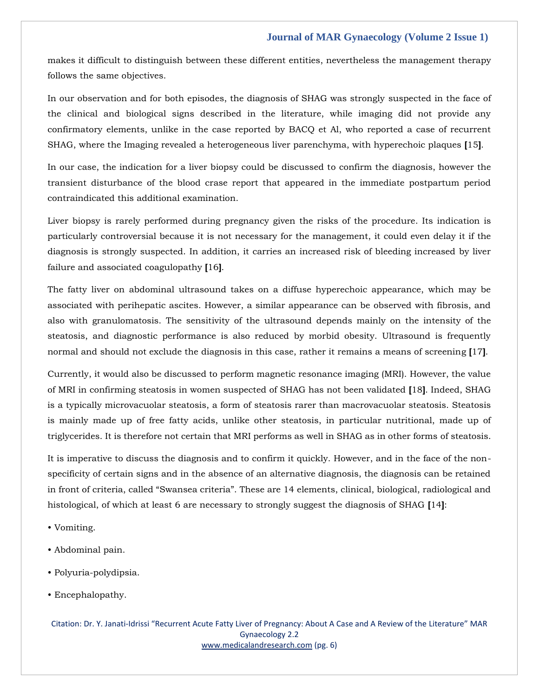makes it difficult to distinguish between these different entities, nevertheless the management therapy follows the same objectives.

In our observation and for both episodes, the diagnosis of SHAG was strongly suspected in the face of the clinical and biological signs described in the literature, while imaging did not provide any confirmatory elements, unlike in the case reported by BACQ et Al, who reported a case of recurrent SHAG, where the Imaging revealed a heterogeneous liver parenchyma, with hyperechoic plaques **[**15**]**.

In our case, the indication for a liver biopsy could be discussed to confirm the diagnosis, however the transient disturbance of the blood crase report that appeared in the immediate postpartum period contraindicated this additional examination.

Liver biopsy is rarely performed during pregnancy given the risks of the procedure. Its indication is particularly controversial because it is not necessary for the management, it could even delay it if the diagnosis is strongly suspected. In addition, it carries an increased risk of bleeding increased by liver failure and associated coagulopathy **[**16**]**.

The fatty liver on abdominal ultrasound takes on a diffuse hyperechoic appearance, which may be associated with perihepatic ascites. However, a similar appearance can be observed with fibrosis, and also with granulomatosis. The sensitivity of the ultrasound depends mainly on the intensity of the steatosis, and diagnostic performance is also reduced by morbid obesity. Ultrasound is frequently normal and should not exclude the diagnosis in this case, rather it remains a means of screening **[**17**]**.

Currently, it would also be discussed to perform magnetic resonance imaging (MRI). However, the value of MRI in confirming steatosis in women suspected of SHAG has not been validated **[**18**]**. Indeed, SHAG is a typically microvacuolar steatosis, a form of steatosis rarer than macrovacuolar steatosis. Steatosis is mainly made up of free fatty acids, unlike other steatosis, in particular nutritional, made up of triglycerides. It is therefore not certain that MRI performs as well in SHAG as in other forms of steatosis.

It is imperative to discuss the diagnosis and to confirm it quickly. However, and in the face of the nonspecificity of certain signs and in the absence of an alternative diagnosis, the diagnosis can be retained in front of criteria, called "Swansea criteria". These are 14 elements, clinical, biological, radiological and histological, of which at least 6 are necessary to strongly suggest the diagnosis of SHAG **[**14**]**:

- Vomiting.
- Abdominal pain.
- Polyuria-polydipsia.
- Encephalopathy.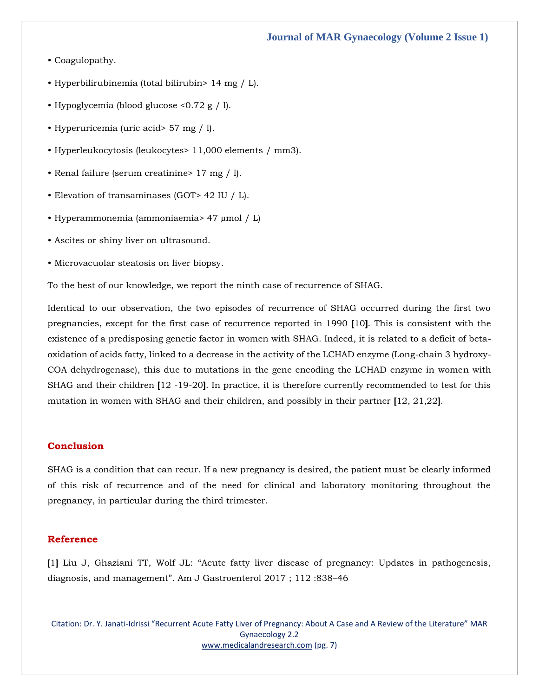- Coagulopathy.
- Hyperbilirubinemia (total bilirubin> 14 mg / L).
- Hypoglycemia (blood glucose <0.72 g / l).
- Hyperuricemia (uric acid> 57 mg / l).
- Hyperleukocytosis (leukocytes> 11,000 elements / mm3).
- Renal failure (serum creatinine> 17 mg / l).
- Elevation of transaminases (GOT> 42 IU / L).
- Hyperammonemia (ammoniaemia> 47 µmol / L)
- Ascites or shiny liver on ultrasound.
- Microvacuolar steatosis on liver biopsy.

To the best of our knowledge, we report the ninth case of recurrence of SHAG.

Identical to our observation, the two episodes of recurrence of SHAG occurred during the first two pregnancies, except for the first case of recurrence reported in 1990 **[**10**]**. This is consistent with the existence of a predisposing genetic factor in women with SHAG. Indeed, it is related to a deficit of betaoxidation of acids fatty, linked to a decrease in the activity of the LCHAD enzyme (Long-chain 3 hydroxy-COA dehydrogenase), this due to mutations in the gene encoding the LCHAD enzyme in women with SHAG and their children **[**12 -19-20**]**. In practice, it is therefore currently recommended to test for this mutation in women with SHAG and their children, and possibly in their partner **[**12, 21,22**]**.

#### **Conclusion**

SHAG is a condition that can recur. If a new pregnancy is desired, the patient must be clearly informed of this risk of recurrence and of the need for clinical and laboratory monitoring throughout the pregnancy, in particular during the third trimester.

### **Reference**

**[**1**]** Liu J, Ghaziani TT, Wolf JL: "[Acute fatty liver disease of pregnancy: Updates in pathogenesis,](https://www.google.com/search?q=%E2%80%9CAcute+fatty+liver+disease+of+pregnancy%3A+Updates+in+pathogenesis%2C+diagnosis%2C+and+management%E2%80%9D&oq=%E2%80%9CAcute+fatty+liver+disease+of+pregnancy%3A+Updates+in+pathogenesis%2C+diagnosis%2C+and+management%E2%80%9D&aqs=chrome..69i57.818j0j15&sourceid=chrome&ie=UTF-8)  diagnosis, and management"[. Am J Gastroenterol 2017 ; 112 :838](https://www.google.com/search?q=%E2%80%9CAcute+fatty+liver+disease+of+pregnancy%3A+Updates+in+pathogenesis%2C+diagnosis%2C+and+management%E2%80%9D&oq=%E2%80%9CAcute+fatty+liver+disease+of+pregnancy%3A+Updates+in+pathogenesis%2C+diagnosis%2C+and+management%E2%80%9D&aqs=chrome..69i57.818j0j15&sourceid=chrome&ie=UTF-8)–46

Citation: Dr. Y. Janati-Idrissi "Recurrent Acute Fatty Liver of Pregnancy: About A Case and A Review of the Literature" MAR Gynaecology 2.2 [www.medicalandresearch.com](http://www.medicalandresearch.com/) (pg. 7)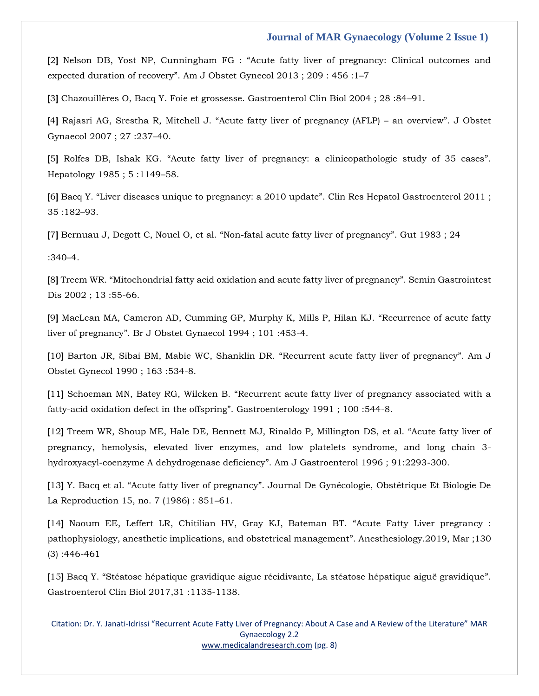**[**2**]** Nelson DB, Yost NP, Cunningham FG : "[Acute fatty liver of pregnancy: Clinical outcomes and](https://www.google.com/search?q=%E2%80%9CAcute+fatty+liver+of+pregnancy%3A+Clinical+outcomes+and+expected+duration+of+recovery%E2%80%9D&sxsrf=AOaemvKv4hEqByRuU9zfYpMDUCymaHsqMQ%3A1637993932091&ei=zM2hYauMBeqo3LUPgruH4AE&ved=0ahUKEwirot3z8rf0AhVqFLcAHYLdARwQ4dUDCA4&uact=5&oq=%E2%80%9CAcute+fatty+liver+of+pregnancy%3A+Clinical+outcomes+and+expected+duration+of+recovery%E2%80%9D&gs_lcp=Cgdnd3Mtd2l6EAMyBAgAEB46BwgAEEcQsANKBAhBGABQ3wdY3wdgvQ5oA3ACeACAAWiIAWiSAQMwLjGYAQCgAQKgAQHIAQjAAQE&sclient=gws-wiz)  expected duration of recovery"[. Am J Obstet Gynecol 2013 ; 209 : 456 :1](https://www.google.com/search?q=%E2%80%9CAcute+fatty+liver+of+pregnancy%3A+Clinical+outcomes+and+expected+duration+of+recovery%E2%80%9D&sxsrf=AOaemvKv4hEqByRuU9zfYpMDUCymaHsqMQ%3A1637993932091&ei=zM2hYauMBeqo3LUPgruH4AE&ved=0ahUKEwirot3z8rf0AhVqFLcAHYLdARwQ4dUDCA4&uact=5&oq=%E2%80%9CAcute+fatty+liver+of+pregnancy%3A+Clinical+outcomes+and+expected+duration+of+recovery%E2%80%9D&gs_lcp=Cgdnd3Mtd2l6EAMyBAgAEB46BwgAEEcQsANKBAhBGABQ3wdY3wdgvQ5oA3ACeACAAWiIAWiSAQMwLjGYAQCgAQKgAQHIAQjAAQE&sclient=gws-wiz)–7

**[**3**]** Chazouillères O, Bacq Y. Foie et grossesse. Gastroenterol Clin Biol 2004 ; 28 :84–91.

**[**4**]** Rajasri AG, Srestha R, Mitchell J. "[Acute fatty liver of pregnancy \(AFLP\)](https://www.google.com/search?q=%E2%80%9CAcute+fatty+liver+of+pregnancy+%28AFLP%29+%E2%80%93+an+overview%E2%80%9D&sxsrf=AOaemvKoWc3SUW0G6KVPtbzld4tBsaU8lQ%3A1637993958514&ei=5s2hYZzuHsuo3LUPlJmq0Ac&ved=0ahUKEwic-amA87f0AhVLFLcAHZSMCnoQ4dUDCA4&uact=5&oq=%E2%80%9CAcute+fatty+liver+of+pregnancy+%28AFLP%29+%E2%80%93+an+overview%E2%80%9D&gs_lcp=Cgdnd3Mtd2l6EAMyBQgAEM0CMgUIABDNAjIFCAAQzQIyBQgAEM0COgcIABCwAxAeSgQIQRgBUIcGWIcGYJwOaANwAHgAgAG7AYgBuwGSAQMwLjGYAQCgAQKgAQHIAQHAAQE&sclient=gws-wiz) – an overview". J Obstet [Gynaecol 2007 ; 27 :237](https://www.google.com/search?q=%E2%80%9CAcute+fatty+liver+of+pregnancy+%28AFLP%29+%E2%80%93+an+overview%E2%80%9D&sxsrf=AOaemvKoWc3SUW0G6KVPtbzld4tBsaU8lQ%3A1637993958514&ei=5s2hYZzuHsuo3LUPlJmq0Ac&ved=0ahUKEwic-amA87f0AhVLFLcAHZSMCnoQ4dUDCA4&uact=5&oq=%E2%80%9CAcute+fatty+liver+of+pregnancy+%28AFLP%29+%E2%80%93+an+overview%E2%80%9D&gs_lcp=Cgdnd3Mtd2l6EAMyBQgAEM0CMgUIABDNAjIFCAAQzQIyBQgAEM0COgcIABCwAxAeSgQIQRgBUIcGWIcGYJwOaANwAHgAgAG7AYgBuwGSAQMwLjGYAQCgAQKgAQHIAQHAAQE&sclient=gws-wiz)–40.

**[**5**]** Rolfes DB, Ishak KG. "[Acute fatty liver of pregnancy: a clinicopathologic study of 35 cases](https://www.google.com/search?q=%E2%80%9CAcute+fatty+liver+of+pregnancy%3A+a+clinicopathologic+study+of+35+cases%E2%80%9D&sxsrf=AOaemvLyYUBj76xqRbA8mkuTiKdas-QvLA%3A1637994040922&ei=OM6hYczNN8C-3LUPsaCMsA8&ved=0ahUKEwjMyc-n87f0AhVAH7cAHTEQA_YQ4dUDCA4&uact=5&oq=%E2%80%9CAcute+fatty+liver+of+pregnancy%3A+a+clinicopathologic+study+of+35+cases%E2%80%9D&gs_lcp=Cgdnd3Mtd2l6EAM6BwgAEEcQsANKBAhBGABQnQdYnQdgwg5oA3ACeACAAZQBiAGUAZIBAzAuMZgBAKABAqABAcgBAsABAQ&sclient=gws-wiz)". [Hepatology 1985 ; 5 :1149](https://www.google.com/search?q=%E2%80%9CAcute+fatty+liver+of+pregnancy%3A+a+clinicopathologic+study+of+35+cases%E2%80%9D&sxsrf=AOaemvLyYUBj76xqRbA8mkuTiKdas-QvLA%3A1637994040922&ei=OM6hYczNN8C-3LUPsaCMsA8&ved=0ahUKEwjMyc-n87f0AhVAH7cAHTEQA_YQ4dUDCA4&uact=5&oq=%E2%80%9CAcute+fatty+liver+of+pregnancy%3A+a+clinicopathologic+study+of+35+cases%E2%80%9D&gs_lcp=Cgdnd3Mtd2l6EAM6BwgAEEcQsANKBAhBGABQnQdYnQdgwg5oA3ACeACAAZQBiAGUAZIBAzAuMZgBAKABAqABAcgBAsABAQ&sclient=gws-wiz)–58.

**[**6**]** Bacq Y. "[Liver diseases unique to pregnancy: a 2010 update](https://www.google.com/search?q=%E2%80%9CLiver+diseases+unique+to+pregnancy%3A+a+2010+update%E2%80%9D&sxsrf=AOaemvL5CyCSQCSHZ5mqjDy6gvEAs3VUrw%3A1637994174805&ei=vs6hYe7KMJbAz7sP84S1wAY&ved=0ahUKEwjuobvn87f0AhUW4HMBHXNCDWgQ4dUDCA4&uact=5&oq=%E2%80%9CLiver+diseases+unique+to+pregnancy%3A+a+2010+update%E2%80%9D&gs_lcp=Cgdnd3Mtd2l6EAMyCAgAEBYQChAeSgQIQRgBUJcGWJcGYNUNaANwAHgAgAF7iAF7kgEDMC4xmAEAoAECoAEBwAEB&sclient=gws-wiz)". Clin Res Hepatol Gastroenterol 2011 ; [35 :182](https://www.google.com/search?q=%E2%80%9CLiver+diseases+unique+to+pregnancy%3A+a+2010+update%E2%80%9D&sxsrf=AOaemvL5CyCSQCSHZ5mqjDy6gvEAs3VUrw%3A1637994174805&ei=vs6hYe7KMJbAz7sP84S1wAY&ved=0ahUKEwjuobvn87f0AhUW4HMBHXNCDWgQ4dUDCA4&uact=5&oq=%E2%80%9CLiver+diseases+unique+to+pregnancy%3A+a+2010+update%E2%80%9D&gs_lcp=Cgdnd3Mtd2l6EAMyCAgAEBYQChAeSgQIQRgBUJcGWJcGYNUNaANwAHgAgAF7iAF7kgEDMC4xmAEAoAECoAEBwAEB&sclient=gws-wiz)–93.

**[**7**]** Bernuau J, Degott C, Nouel O, et al. "[Non-fatal acute fatty liver of pregnancy](https://www.google.com/search?q=%E2%80%9CNon-fatal+acute+fatty+liver+of+pregnancy%E2%80%9D&sxsrf=AOaemvJ4wRK7eINGk5YoMglBYbBBlbAt2g%3A1637994201561&ei=2c6hYcPRIcjB3LUPtNi08AQ&ved=0ahUKEwiDopz087f0AhXIILcAHTQsDU4Q4dUDCA4&uact=5&oq=%E2%80%9CNon-fatal+acute+fatty+liver+of+pregnancy%E2%80%9D&gs_lcp=Cgdnd3Mtd2l6EAM6BwgAEEcQsANKBAhBGABQiwhYiwhgwA9oA3ACeACAAa0BiAGtAZIBAzAuMZgBAKABAqABAcgBCMABAQ&sclient=gws-wiz)". Gut 1983 ; 24

[:340](https://www.google.com/search?q=%E2%80%9CNon-fatal+acute+fatty+liver+of+pregnancy%E2%80%9D&sxsrf=AOaemvJ4wRK7eINGk5YoMglBYbBBlbAt2g%3A1637994201561&ei=2c6hYcPRIcjB3LUPtNi08AQ&ved=0ahUKEwiDopz087f0AhXIILcAHTQsDU4Q4dUDCA4&uact=5&oq=%E2%80%9CNon-fatal+acute+fatty+liver+of+pregnancy%E2%80%9D&gs_lcp=Cgdnd3Mtd2l6EAM6BwgAEEcQsANKBAhBGABQiwhYiwhgwA9oA3ACeACAAa0BiAGtAZIBAzAuMZgBAKABAqABAcgBCMABAQ&sclient=gws-wiz)–4.

**[**8**]** Treem WR. "[Mitochondrial fatty acid oxidation and acute fatty liver of pregnancy](https://www.google.com/search?q=%E2%80%9CMitochondrial+fatty+acid+oxidation+and+acute+fatty+liver+of+pregnancy%E2%80%9D&sxsrf=AOaemvJ33hTUPtuoBQMnOdm4oBSe3Ws56A%3A1637994225026&ei=8c6hYY53pv_Puw-Cmbq4Bw&ved=0ahUKEwjOs7T_87f0AhWm_3MBHYKMDncQ4dUDCA4&uact=5&oq=%E2%80%9CMitochondrial+fatty+acid+oxidation+and+acute+fatty+liver+of+pregnancy%E2%80%9D&gs_lcp=Cgdnd3Mtd2l6EAM6CAgAELADEM0CSgQIQRgBUN4FWN4FYPQMaANwAHgAgAF0iAF0kgEDMC4xmAEAoAECoAEByAEBwAEB&sclient=gws-wiz)". Semin Gastrointest [Dis 2002 ; 13 :55-66.](https://www.google.com/search?q=%E2%80%9CMitochondrial+fatty+acid+oxidation+and+acute+fatty+liver+of+pregnancy%E2%80%9D&sxsrf=AOaemvJ33hTUPtuoBQMnOdm4oBSe3Ws56A%3A1637994225026&ei=8c6hYY53pv_Puw-Cmbq4Bw&ved=0ahUKEwjOs7T_87f0AhWm_3MBHYKMDncQ4dUDCA4&uact=5&oq=%E2%80%9CMitochondrial+fatty+acid+oxidation+and+acute+fatty+liver+of+pregnancy%E2%80%9D&gs_lcp=Cgdnd3Mtd2l6EAM6CAgAELADEM0CSgQIQRgBUN4FWN4FYPQMaANwAHgAgAF0iAF0kgEDMC4xmAEAoAECoAEByAEBwAEB&sclient=gws-wiz)

**[**9**]** [MacLean MA, Cameron AD, Cumming GP, Murphy K, Mills P, Hilan KJ.](https://www.google.com/search?q=%E2%80%9CRecurrence+of+acute+fatty+liver+of+pregnancy%E2%80%9D&sxsrf=AOaemvJfCMoo-iBiW94Oycx-93_Y9b5eSQ%3A1637994247054&ei=B8-hYY7gAqHXz7sP_J6KyAs&ved=0ahUKEwjO__SJ9Lf0AhWh63MBHXyPArkQ4dUDCA4&uact=5&oq=%E2%80%9CRecurrence+of+acute+fatty+liver+of+pregnancy%E2%80%9D&gs_lcp=Cgdnd3Mtd2l6EAMyBggAEBYQHjIGCAAQFhAeMgYIABAWEB5KBAhBGAFQpwlYpwlgrRBoA3AAeACAAWuIAWuSAQMwLjGYAQCgAQKgAQHAAQE&sclient=gws-wiz) "Recurrence of acute fatty liver of pregnancy"[. Br J Obstet Gynaecol 1994 ; 101 :453-4.](https://www.google.com/search?q=%E2%80%9CRecurrence+of+acute+fatty+liver+of+pregnancy%E2%80%9D&sxsrf=AOaemvJfCMoo-iBiW94Oycx-93_Y9b5eSQ%3A1637994247054&ei=B8-hYY7gAqHXz7sP_J6KyAs&ved=0ahUKEwjO__SJ9Lf0AhWh63MBHXyPArkQ4dUDCA4&uact=5&oq=%E2%80%9CRecurrence+of+acute+fatty+liver+of+pregnancy%E2%80%9D&gs_lcp=Cgdnd3Mtd2l6EAMyBggAEBYQHjIGCAAQFhAeMgYIABAWEB5KBAhBGAFQpwlYpwlgrRBoA3AAeACAAWuIAWuSAQMwLjGYAQCgAQKgAQHAAQE&sclient=gws-wiz)

**[**10**]** [Barton JR, Sibai BM, Mabie WC, Shanklin DR.](https://www.google.com/search?q=%E2%80%9CRecurrent+acute+fatty+liver+of+pregnancy%E2%80%9D&sxsrf=AOaemvIrQR2XXgyzpRdr6dlD6UJzrLD1dg%3A1637994275401&ei=I8-hYevvF56a4t4PjJuKyAM&ved=0ahUKEwirjbeX9Lf0AhUejdgFHYyNAjkQ4dUDCA4&uact=5&oq=%E2%80%9CRecurrent+acute+fatty+liver+of+pregnancy%E2%80%9D&gs_lcp=Cgdnd3Mtd2l6EAMyBQghEKABMgUIIRCgATIFCCEQoAEyBQghEKABOgcIABBHELADSgQIQRgAUKUGWKUGYLUNaANwAngAgAG0AYgBtAGSAQMwLjGYAQCgAQKgAQHIAQjAAQE&sclient=gws-wiz) "Recurrent acute fatty liver of pregnancy". Am J [Obstet Gynecol 1990 ; 163 :534-8.](https://www.google.com/search?q=%E2%80%9CRecurrent+acute+fatty+liver+of+pregnancy%E2%80%9D&sxsrf=AOaemvIrQR2XXgyzpRdr6dlD6UJzrLD1dg%3A1637994275401&ei=I8-hYevvF56a4t4PjJuKyAM&ved=0ahUKEwirjbeX9Lf0AhUejdgFHYyNAjkQ4dUDCA4&uact=5&oq=%E2%80%9CRecurrent+acute+fatty+liver+of+pregnancy%E2%80%9D&gs_lcp=Cgdnd3Mtd2l6EAMyBQghEKABMgUIIRCgATIFCCEQoAEyBQghEKABOgcIABBHELADSgQIQRgAUKUGWKUGYLUNaANwAngAgAG0AYgBtAGSAQMwLjGYAQCgAQKgAQHIAQjAAQE&sclient=gws-wiz)

**[**11**]** Schoeman MN, Batey RG, Wilcken B. "[Recurrent acute fatty liver of pregnancy associated with a](https://www.google.com/search?q=%E2%80%9CRecurrent+acute+fatty+liver+of+pregnancy+associated+with+a+fatty-acid+oxidation+defect+in+the+offspring%E2%80%9D&sxsrf=AOaemvLUZCSjJlZUlpdKVEJrXNR7vNv_Dw%3A1637994305225&ei=Qc-hYcadDfOF4t4P5-CvwAI&ved=0ahUKEwiGwtOl9Lf0AhXzgtgFHWfwCygQ4dUDCA4&uact=5&oq=%E2%80%9CRecurrent+acute+fatty+liver+of+pregnancy+associated+with+a+fatty-acid+oxidation+defect+in+the+offspring%E2%80%9D&gs_lcp=Cgdnd3Mtd2l6EAMyBwgAEEcQsAMyBwgAEEcQsAMyBwgAEEcQsAMyBwgAEEcQsAMyBwgAEEcQsAMyBwgAEEcQsAMyBwgAEEcQsAMyBwgAEEcQsANKBAhBGABQjwZYjwZg7QxoBHACeACAAQCIAQCSAQCYAQCgAQKgAQHIAQjAAQE&sclient=gws-wiz)  [fatty-acid oxidation defect in the offspring](https://www.google.com/search?q=%E2%80%9CRecurrent+acute+fatty+liver+of+pregnancy+associated+with+a+fatty-acid+oxidation+defect+in+the+offspring%E2%80%9D&sxsrf=AOaemvLUZCSjJlZUlpdKVEJrXNR7vNv_Dw%3A1637994305225&ei=Qc-hYcadDfOF4t4P5-CvwAI&ved=0ahUKEwiGwtOl9Lf0AhXzgtgFHWfwCygQ4dUDCA4&uact=5&oq=%E2%80%9CRecurrent+acute+fatty+liver+of+pregnancy+associated+with+a+fatty-acid+oxidation+defect+in+the+offspring%E2%80%9D&gs_lcp=Cgdnd3Mtd2l6EAMyBwgAEEcQsAMyBwgAEEcQsAMyBwgAEEcQsAMyBwgAEEcQsAMyBwgAEEcQsAMyBwgAEEcQsAMyBwgAEEcQsAMyBwgAEEcQsANKBAhBGABQjwZYjwZg7QxoBHACeACAAQCIAQCSAQCYAQCgAQKgAQHIAQjAAQE&sclient=gws-wiz)". Gastroenterology 1991 ; 100 :544-8.

**[**12**]** [Treem WR, Shoup ME, Hale DE, Bennett MJ, Rinaldo P, Millington DS, et al.](https://www.google.com/search?q=%E2%80%9CAcute+fatty+liver+of+pregnancy%2C+hemolysis%2C+elevated+liver+enzymes%2C+and+low+platelets+syndrome%2C+and+long+chain+3-hydroxyacyl-coenzyme+A+dehydrogenase+deficiency%E2%80%9D&sxsrf=AOaemvKa7-P1Ju7uzGMDE-15wzbC3F_PPA%3A1637994328261&ei=WM-hYea0D9zC3LUPrPiG0AE&ved=0ahUKEwjmwNGw9Lf0AhVcIbcAHSy8ARoQ4dUDCA4&uact=5&oq=%E2%80%9CAcute+fatty+liver+of+pregnancy%2C+hemolysis%2C+elevated+liver+enzymes%2C+and+low+platelets+syndrome%2C+and+long+chain+3-hydroxyacyl-coenzyme+A+dehydrogenase+deficiency%E2%80%9D&gs_lcp=Cgdnd3Mtd2l6EANKBAhBGABQnwlYnwlg_A9oAHAAeACAAQCIAQCSAQCYAQCgAQKgAQHAAQE&sclient=gws-wiz) "Acute fatty liver of [pregnancy, hemolysis, elevated liver enzymes, and low platelets syndrome, and long chain 3](https://www.google.com/search?q=%E2%80%9CAcute+fatty+liver+of+pregnancy%2C+hemolysis%2C+elevated+liver+enzymes%2C+and+low+platelets+syndrome%2C+and+long+chain+3-hydroxyacyl-coenzyme+A+dehydrogenase+deficiency%E2%80%9D&sxsrf=AOaemvKa7-P1Ju7uzGMDE-15wzbC3F_PPA%3A1637994328261&ei=WM-hYea0D9zC3LUPrPiG0AE&ved=0ahUKEwjmwNGw9Lf0AhVcIbcAHSy8ARoQ4dUDCA4&uact=5&oq=%E2%80%9CAcute+fatty+liver+of+pregnancy%2C+hemolysis%2C+elevated+liver+enzymes%2C+and+low+platelets+syndrome%2C+and+long+chain+3-hydroxyacyl-coenzyme+A+dehydrogenase+deficiency%E2%80%9D&gs_lcp=Cgdnd3Mtd2l6EANKBAhBGABQnwlYnwlg_A9oAHAAeACAAQCIAQCSAQCYAQCgAQKgAQHAAQE&sclient=gws-wiz) [hydroxyacyl-coenzyme A dehydrogenase deficiency](https://www.google.com/search?q=%E2%80%9CAcute+fatty+liver+of+pregnancy%2C+hemolysis%2C+elevated+liver+enzymes%2C+and+low+platelets+syndrome%2C+and+long+chain+3-hydroxyacyl-coenzyme+A+dehydrogenase+deficiency%E2%80%9D&sxsrf=AOaemvKa7-P1Ju7uzGMDE-15wzbC3F_PPA%3A1637994328261&ei=WM-hYea0D9zC3LUPrPiG0AE&ved=0ahUKEwjmwNGw9Lf0AhVcIbcAHSy8ARoQ4dUDCA4&uact=5&oq=%E2%80%9CAcute+fatty+liver+of+pregnancy%2C+hemolysis%2C+elevated+liver+enzymes%2C+and+low+platelets+syndrome%2C+and+long+chain+3-hydroxyacyl-coenzyme+A+dehydrogenase+deficiency%E2%80%9D&gs_lcp=Cgdnd3Mtd2l6EANKBAhBGABQnwlYnwlg_A9oAHAAeACAAQCIAQCSAQCYAQCgAQKgAQHAAQE&sclient=gws-wiz)". Am J Gastroenterol 1996 ; 91:2293-300.

**[**13**]** Y. Bacq et al. "Acute fatty liver of pregnancy"[. Journal De Gynécologie, Obstétrique Et Biologie De](https://www.google.com/search?q=%E2%80%9CAcute+fatty+liver+of+pregnancy%E2%80%9D&sxsrf=AOaemvJJyLP_qwFN9Zep-SS3JJYw_69RZQ%3A1637994365081&ei=fc-hYcysBJGfseMP9-SroAo&ved=0ahUKEwiM35jC9Lf0AhWRT2wGHXfyCqQQ4dUDCA4&uact=5&oq=%E2%80%9CAcute+fatty+liver+of+pregnancy%E2%80%9D&gs_lcp=Cgdnd3Mtd2l6EAMyBAgAEEMyBQgAEIAEMgUIABCABDIFCAAQgAQyBQgAEIAEMgUIABCABDIECAAQQzIFCAAQgAQyBQgAEIAEMgUIABCABDoHCAAQRxCwA0oECEEYAFCfBlifBmDVDWgAcAV4AIABaogBapIBAzAuMZgBAKABAqABAcgBCMABAQ&sclient=gws-wiz)  [La Reproduction 15, no. 7 \(1986\) : 851](https://www.google.com/search?q=%E2%80%9CAcute+fatty+liver+of+pregnancy%E2%80%9D&sxsrf=AOaemvJJyLP_qwFN9Zep-SS3JJYw_69RZQ%3A1637994365081&ei=fc-hYcysBJGfseMP9-SroAo&ved=0ahUKEwiM35jC9Lf0AhWRT2wGHXfyCqQQ4dUDCA4&uact=5&oq=%E2%80%9CAcute+fatty+liver+of+pregnancy%E2%80%9D&gs_lcp=Cgdnd3Mtd2l6EAMyBAgAEEMyBQgAEIAEMgUIABCABDIFCAAQgAQyBQgAEIAEMgUIABCABDIECAAQQzIFCAAQgAQyBQgAEIAEMgUIABCABDoHCAAQRxCwA0oECEEYAFCfBlifBmDVDWgAcAV4AIABaogBapIBAzAuMZgBAKABAqABAcgBCMABAQ&sclient=gws-wiz)–61.

**[**14**]** [Naoum EE, Leffert LR, Chitilian HV, Gray KJ, Bateman BT.](https://www.google.com/search?q=%E2%80%9CAcute+Fatty+Liver+pregrancy+%3A+pathophysiology%2C+anesthetic+implications%2C+and+obstetrical+management%E2%80%9D&sxsrf=AOaemvI9k7dGZIOKtgZRm4kclPu_OzaUzg%3A1637994402973&ei=os-hYdqDO87hz7sPlcC7cA&ved=0ahUKEwja3KHU9Lf0AhXO8HMBHRXgDg4Q4dUDCA4&uact=5&oq=%E2%80%9CAcute+Fatty+Liver+pregrancy+%3A+pathophysiology%2C+anesthetic+implications%2C+and+obstetrical+management%E2%80%9D&gs_lcp=Cgdnd3Mtd2l6EAMyCAgAEAgQDRAeOgcIABBHELADSgQIQRgAUI4HWI4HYJwPaANwAngAgAFxiAFxkgEDMC4xmAEAoAECoAEByAEIwAEB&sclient=gws-wiz) "Acute Fatty Liver pregrancy : [pathophysiology, anesthetic implications, and obstetrical management](https://www.google.com/search?q=%E2%80%9CAcute+Fatty+Liver+pregrancy+%3A+pathophysiology%2C+anesthetic+implications%2C+and+obstetrical+management%E2%80%9D&sxsrf=AOaemvI9k7dGZIOKtgZRm4kclPu_OzaUzg%3A1637994402973&ei=os-hYdqDO87hz7sPlcC7cA&ved=0ahUKEwja3KHU9Lf0AhXO8HMBHRXgDg4Q4dUDCA4&uact=5&oq=%E2%80%9CAcute+Fatty+Liver+pregrancy+%3A+pathophysiology%2C+anesthetic+implications%2C+and+obstetrical+management%E2%80%9D&gs_lcp=Cgdnd3Mtd2l6EAMyCAgAEAgQDRAeOgcIABBHELADSgQIQRgAUI4HWI4HYJwPaANwAngAgAFxiAFxkgEDMC4xmAEAoAECoAEByAEIwAEB&sclient=gws-wiz)". Anesthesiology.2019, Mar ;130 [\(3\) :446-461](https://www.google.com/search?q=%E2%80%9CAcute+Fatty+Liver+pregrancy+%3A+pathophysiology%2C+anesthetic+implications%2C+and+obstetrical+management%E2%80%9D&sxsrf=AOaemvI9k7dGZIOKtgZRm4kclPu_OzaUzg%3A1637994402973&ei=os-hYdqDO87hz7sPlcC7cA&ved=0ahUKEwja3KHU9Lf0AhXO8HMBHRXgDg4Q4dUDCA4&uact=5&oq=%E2%80%9CAcute+Fatty+Liver+pregrancy+%3A+pathophysiology%2C+anesthetic+implications%2C+and+obstetrical+management%E2%80%9D&gs_lcp=Cgdnd3Mtd2l6EAMyCAgAEAgQDRAeOgcIABBHELADSgQIQRgAUI4HWI4HYJwPaANwAngAgAFxiAFxkgEDMC4xmAEAoAECoAEByAEIwAEB&sclient=gws-wiz)

**[**15**]** Bacq Y. "Stéatose hépatique gravidique aigue récidivante, La stéatose hépatique aiguë gravidique". Gastroenterol Clin Biol 2017,31 :1135[-1138.](https://www.google.com/search?q=%E2%80%9CAcute+Fatty+Liver+pregrancy+%3A+pathophysiology%2C+anesthetic+implications%2C+and+obstetrical+management%E2%80%9D&sxsrf=AOaemvI9k7dGZIOKtgZRm4kclPu_OzaUzg%3A1637994402973&ei=os-hYdqDO87hz7sPlcC7cA&ved=0ahUKEwja3KHU9Lf0AhXO8HMBHRXgDg4Q4dUDCA4&uact=5&oq=%E2%80%9CAcute+Fatty+Liver+pregrancy+%3A+pathophysiology%2C+anesthetic+implications%2C+and+obstetrical+management%E2%80%9D&gs_lcp=Cgdnd3Mtd2l6EAMyCAgAEAgQDRAeOgcIABBHELADSgQIQRgAUI4HWI4HYJwPaANwAngAgAFxiAFxkgEDMC4xmAEAoAECoAEByAEIwAEB&sclient=gws-wiz)

Citation: Dr. Y. Janati-Idrissi "Recurrent Acute Fatty Liver of Pregnancy: About A Case and A Review of the Literature" MAR Gynaecology 2.2 [www.medicalandresearch.com](http://www.medicalandresearch.com/) (pg. 8)